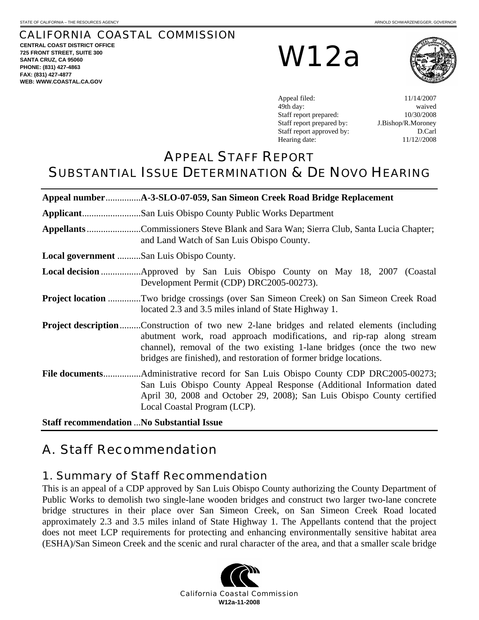### CALIFORNIA COASTAL COMMISSION

**CENTRAL COAST DISTRICT OFFICE 725 FRONT STREET, SUITE 300 SANTA CRUZ, CA 95060 PHONE: (831) 427-4863 FAX: (831) 427-4877 WEB: WWW.COASTAL.CA.GOV**

W12a



Appeal filed: 11/14/2007 49th day: waived Staff report prepared:  $10/30/2008$ Staff report prepared by: J.Bishop/R.Moroney Staff report approved by: D.Carl Hearing date: 11/12//2008

## APPEAL STAFF REPORT SUBSTANTIAL ISSUE DETERMINATION & DE NOVO HEARING

|                                                                                                                                                                                                                                                                                                                           | Appellants Commissioners Steve Blank and Sara Wan; Sierra Club, Santa Lucia Chapter;<br>and Land Watch of San Luis Obispo County. |  |  |  |  |
|---------------------------------------------------------------------------------------------------------------------------------------------------------------------------------------------------------------------------------------------------------------------------------------------------------------------------|-----------------------------------------------------------------------------------------------------------------------------------|--|--|--|--|
|                                                                                                                                                                                                                                                                                                                           | Local government San Luis Obispo County.                                                                                          |  |  |  |  |
|                                                                                                                                                                                                                                                                                                                           | Development Permit (CDP) DRC2005-00273).                                                                                          |  |  |  |  |
| <b>Project location Two bridge crossings (over San Simeon Creek) on San Simeon Creek Road</b><br>located 2.3 and 3.5 miles inland of State Highway 1.                                                                                                                                                                     |                                                                                                                                   |  |  |  |  |
| <b>Project description</b> Construction of two new 2-lane bridges and related elements (including<br>abutment work, road approach modifications, and rip-rap along stream<br>channel), removal of the two existing 1-lane bridges (once the two new<br>bridges are finished), and restoration of former bridge locations. |                                                                                                                                   |  |  |  |  |
| San Luis Obispo County Appeal Response (Additional Information dated<br>April 30, 2008 and October 29, 2008); San Luis Obispo County certified<br>Local Coastal Program (LCP).                                                                                                                                            |                                                                                                                                   |  |  |  |  |
| $\mathbf{a}$ , $\mathbf{a}$<br>$\mathbf{r}$                                                                                                                                                                                                                                                                               | $\mathbf{M}$ $\mathbf{M}$ $\mathbf{M}$ $\mathbf{M}$                                                                               |  |  |  |  |

**Staff recommendation** ...**No Substantial Issue** 

# A.Staff Recommendation

### 1. Summary of Staff Recommendation

This is an appeal of a CDP approved by San Luis Obispo County authorizing the County Department of Public Works to demolish two single-lane wooden bridges and construct two larger two-lane concrete bridge structures in their place over San Simeon Creek, on San Simeon Creek Road located approximately 2.3 and 3.5 miles inland of State Highway 1. The Appellants contend that the project does not meet LCP requirements for protecting and enhancing environmentally sensitive habitat area (ESHA)/San Simeon Creek and the scenic and rural character of the area, and that a smaller scale bridge

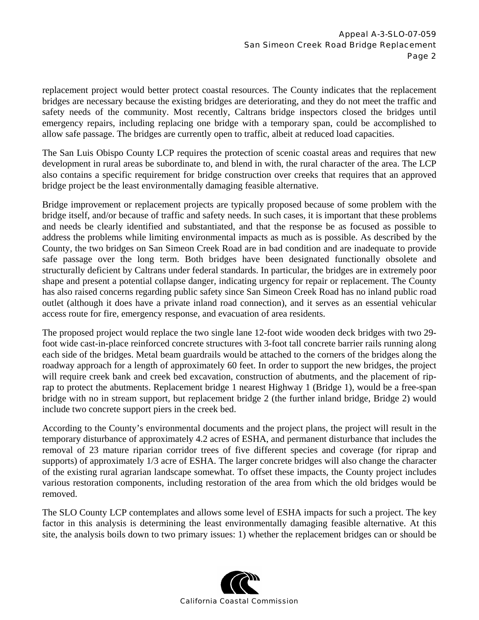replacement project would better protect coastal resources. The County indicates that the replacement bridges are necessary because the existing bridges are deteriorating, and they do not meet the traffic and safety needs of the community. Most recently, Caltrans bridge inspectors closed the bridges until emergency repairs, including replacing one bridge with a temporary span, could be accomplished to allow safe passage. The bridges are currently open to traffic, albeit at reduced load capacities.

The San Luis Obispo County LCP requires the protection of scenic coastal areas and requires that new development in rural areas be subordinate to, and blend in with, the rural character of the area. The LCP also contains a specific requirement for bridge construction over creeks that requires that an approved bridge project be the least environmentally damaging feasible alternative.

Bridge improvement or replacement projects are typically proposed because of some problem with the bridge itself, and/or because of traffic and safety needs. In such cases, it is important that these problems and needs be clearly identified and substantiated, and that the response be as focused as possible to address the problems while limiting environmental impacts as much as is possible. As described by the County, the two bridges on San Simeon Creek Road are in bad condition and are inadequate to provide safe passage over the long term. Both bridges have been designated functionally obsolete and structurally deficient by Caltrans under federal standards. In particular, the bridges are in extremely poor shape and present a potential collapse danger, indicating urgency for repair or replacement. The County has also raised concerns regarding public safety since San Simeon Creek Road has no inland public road outlet (although it does have a private inland road connection), and it serves as an essential vehicular access route for fire, emergency response, and evacuation of area residents.

The proposed project would replace the two single lane 12-foot wide wooden deck bridges with two 29 foot wide cast-in-place reinforced concrete structures with 3-foot tall concrete barrier rails running along each side of the bridges. Metal beam guardrails would be attached to the corners of the bridges along the roadway approach for a length of approximately 60 feet. In order to support the new bridges, the project will require creek bank and creek bed excavation, construction of abutments, and the placement of riprap to protect the abutments. Replacement bridge 1 nearest Highway 1 (Bridge 1), would be a free-span bridge with no in stream support, but replacement bridge 2 (the further inland bridge, Bridge 2) would include two concrete support piers in the creek bed.

According to the County's environmental documents and the project plans, the project will result in the temporary disturbance of approximately 4.2 acres of ESHA, and permanent disturbance that includes the removal of 23 mature riparian corridor trees of five different species and coverage (for riprap and supports) of approximately 1/3 acre of ESHA. The larger concrete bridges will also change the character of the existing rural agrarian landscape somewhat. To offset these impacts, the County project includes various restoration components, including restoration of the area from which the old bridges would be removed.

The SLO County LCP contemplates and allows some level of ESHA impacts for such a project. The key factor in this analysis is determining the least environmentally damaging feasible alternative. At this site, the analysis boils down to two primary issues: 1) whether the replacement bridges can or should be

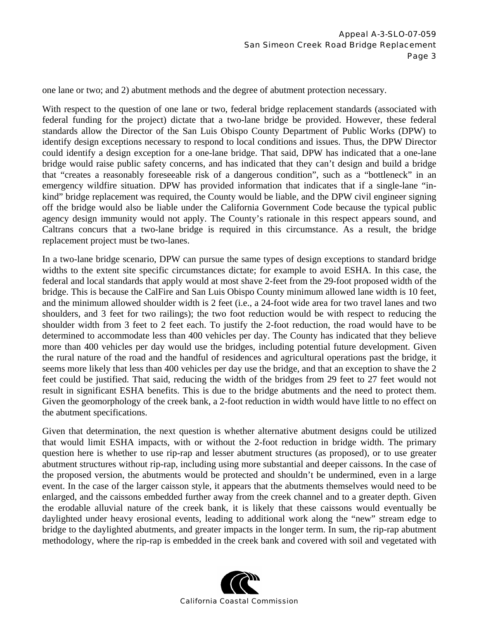one lane or two; and 2) abutment methods and the degree of abutment protection necessary.

With respect to the question of one lane or two, federal bridge replacement standards (associated with federal funding for the project) dictate that a two-lane bridge be provided. However, these federal standards allow the Director of the San Luis Obispo County Department of Public Works (DPW) to identify design exceptions necessary to respond to local conditions and issues. Thus, the DPW Director could identify a design exception for a one-lane bridge. That said, DPW has indicated that a one-lane bridge would raise public safety concerns, and has indicated that they can't design and build a bridge that "creates a reasonably foreseeable risk of a dangerous condition", such as a "bottleneck" in an emergency wildfire situation. DPW has provided information that indicates that if a single-lane "inkind" bridge replacement was required, the County would be liable, and the DPW civil engineer signing off the bridge would also be liable under the California Government Code because the typical public agency design immunity would not apply. The County's rationale in this respect appears sound, and Caltrans concurs that a two-lane bridge is required in this circumstance. As a result, the bridge replacement project must be two-lanes.

In a two-lane bridge scenario, DPW can pursue the same types of design exceptions to standard bridge widths to the extent site specific circumstances dictate; for example to avoid ESHA. In this case, the federal and local standards that apply would at most shave 2-feet from the 29-foot proposed width of the bridge. This is because the CalFire and San Luis Obispo County minimum allowed lane width is 10 feet, and the minimum allowed shoulder width is 2 feet (i.e., a 24-foot wide area for two travel lanes and two shoulders, and 3 feet for two railings); the two foot reduction would be with respect to reducing the shoulder width from 3 feet to 2 feet each. To justify the 2-foot reduction, the road would have to be determined to accommodate less than 400 vehicles per day. The County has indicated that they believe more than 400 vehicles per day would use the bridges, including potential future development. Given the rural nature of the road and the handful of residences and agricultural operations past the bridge, it seems more likely that less than 400 vehicles per day use the bridge, and that an exception to shave the 2 feet could be justified. That said, reducing the width of the bridges from 29 feet to 27 feet would not result in significant ESHA benefits. This is due to the bridge abutments and the need to protect them. Given the geomorphology of the creek bank, a 2-foot reduction in width would have little to no effect on the abutment specifications.

Given that determination, the next question is whether alternative abutment designs could be utilized that would limit ESHA impacts, with or without the 2-foot reduction in bridge width. The primary question here is whether to use rip-rap and lesser abutment structures (as proposed), or to use greater abutment structures without rip-rap, including using more substantial and deeper caissons. In the case of the proposed version, the abutments would be protected and shouldn't be undermined, even in a large event. In the case of the larger caisson style, it appears that the abutments themselves would need to be enlarged, and the caissons embedded further away from the creek channel and to a greater depth. Given the erodable alluvial nature of the creek bank, it is likely that these caissons would eventually be daylighted under heavy erosional events, leading to additional work along the "new" stream edge to bridge to the daylighted abutments, and greater impacts in the longer term. In sum, the rip-rap abutment methodology, where the rip-rap is embedded in the creek bank and covered with soil and vegetated with

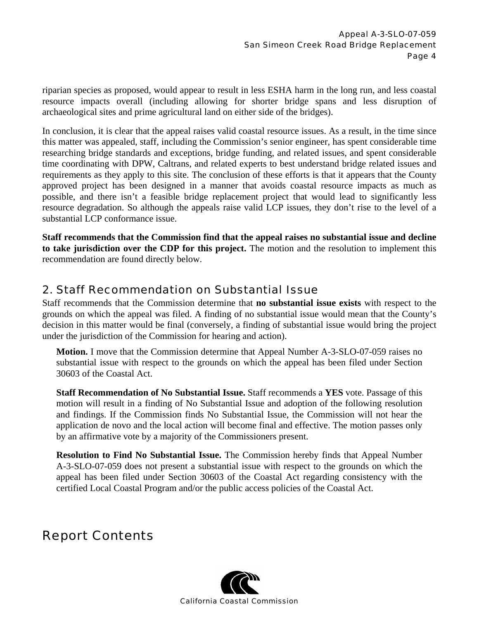riparian species as proposed, would appear to result in less ESHA harm in the long run, and less coastal resource impacts overall (including allowing for shorter bridge spans and less disruption of archaeological sites and prime agricultural land on either side of the bridges).

In conclusion, it is clear that the appeal raises valid coastal resource issues. As a result, in the time since this matter was appealed, staff, including the Commission's senior engineer, has spent considerable time researching bridge standards and exceptions, bridge funding, and related issues, and spent considerable time coordinating with DPW, Caltrans, and related experts to best understand bridge related issues and requirements as they apply to this site. The conclusion of these efforts is that it appears that the County approved project has been designed in a manner that avoids coastal resource impacts as much as possible, and there isn't a feasible bridge replacement project that would lead to significantly less resource degradation. So although the appeals raise valid LCP issues, they don't rise to the level of a substantial LCP conformance issue.

**Staff recommends that the Commission find that the appeal raises no substantial issue and decline to take jurisdiction over the CDP for this project.** The motion and the resolution to implement this recommendation are found directly below.

## 2. Staff Recommendation on Substantial Issue

Staff recommends that the Commission determine that **no substantial issue exists** with respect to the grounds on which the appeal was filed. A finding of no substantial issue would mean that the County's decision in this matter would be final (conversely, a finding of substantial issue would bring the project under the jurisdiction of the Commission for hearing and action).

**Motion.** I move that the Commission determine that Appeal Number A-3-SLO-07-059 raises no substantial issue with respect to the grounds on which the appeal has been filed under Section 30603 of the Coastal Act.

**Staff Recommendation of No Substantial Issue.** Staff recommends a **YES** vote. Passage of this motion will result in a finding of No Substantial Issue and adoption of the following resolution and findings. If the Commission finds No Substantial Issue, the Commission will not hear the application de novo and the local action will become final and effective. The motion passes only by an affirmative vote by a majority of the Commissioners present.

**Resolution to Find No Substantial Issue.** The Commission hereby finds that Appeal Number A-3-SLO-07-059 does not present a substantial issue with respect to the grounds on which the appeal has been filed under Section 30603 of the Coastal Act regarding consistency with the certified Local Coastal Program and/or the public access policies of the Coastal Act.

## Report Contents

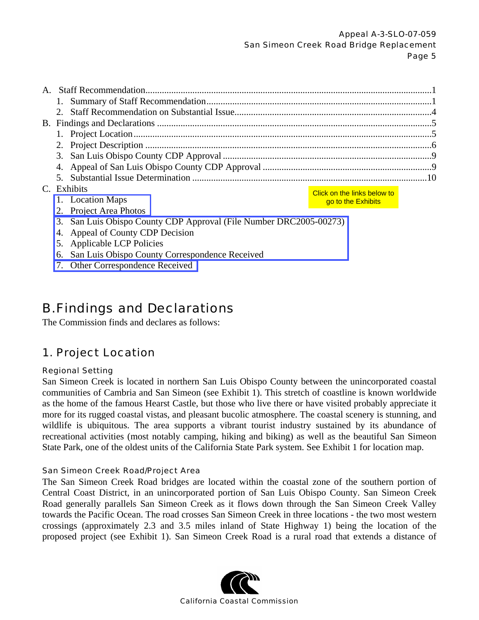|                                                                    |                                                   | Exhibits                   | Click on the links below to |  |
|--------------------------------------------------------------------|---------------------------------------------------|----------------------------|-----------------------------|--|
|                                                                    |                                                   | 1. Location Maps           | go to the Exhibits          |  |
|                                                                    |                                                   | 2. Project Area Photos     |                             |  |
| 3. San Luis Obispo County CDP Approval (File Number DRC2005-00273) |                                                   |                            |                             |  |
|                                                                    | 4. Appeal of County CDP Decision                  |                            |                             |  |
|                                                                    |                                                   | 5. Applicable LCP Policies |                             |  |
|                                                                    | 6. San Luis Obispo County Correspondence Received |                            |                             |  |

[7. Other Correspondence Received](http://documents.coastal.ca.gov/reports/2008/11/W12a-11-2008-a3.pdf) 

## B. Findings and Declarations

The Commission finds and declares as follows:

## 1. Project Location

#### Regional Setting

San Simeon Creek is located in northern San Luis Obispo County between the unincorporated coastal communities of Cambria and San Simeon (see Exhibit 1). This stretch of coastline is known worldwide as the home of the famous Hearst Castle, but those who live there or have visited probably appreciate it more for its rugged coastal vistas, and pleasant bucolic atmosphere. The coastal scenery is stunning, and wildlife is ubiquitous. The area supports a vibrant tourist industry sustained by its abundance of recreational activities (most notably camping, hiking and biking) as well as the beautiful San Simeon State Park, one of the oldest units of the California State Park system. See Exhibit 1 for location map. **Click on the links below to**<br> **California Co**<br> **California Co**<br> **California Constant Constant Constant Constant Constant Constant Common stars of Collows:**<br> **Arations**<br> **Californis Constant Constant Constant Constant Cons** 

#### San Simeon Creek Road/Project Area

The San Simeon Creek Road bridges are located within the coastal zone of the southern portion of Central Coast District, in an unincorporated portion of San Luis Obispo County. San Simeon Creek Road generally parallels San Simeon Creek as it flows down through the San Simeon Creek Valley towards the Pacific Ocean. The road crosses San Simeon Creek in three locations - the two most western crossings (approximately 2.3 and 3.5 miles inland of State Highway 1) being the location of the proposed project (see Exhibit 1). San Simeon Creek Road is a rural road that extends a distance of

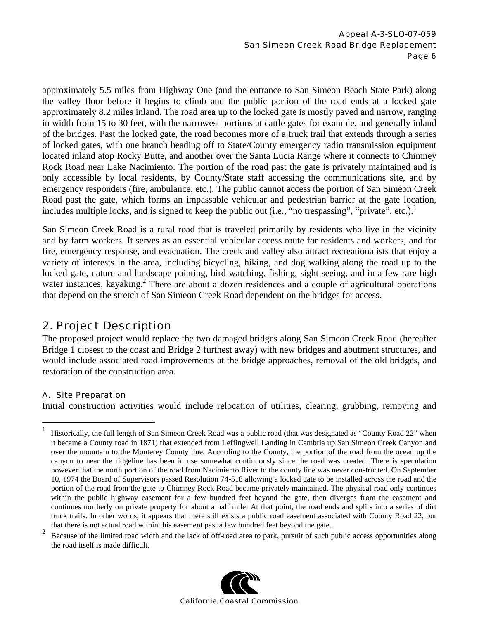approximately 5.5 miles from Highway One (and the entrance to San Simeon Beach State Park) along the valley floor before it begins to climb and the public portion of the road ends at a locked gate approximately 8.2 miles inland. The road area up to the locked gate is mostly paved and narrow, ranging in width from 15 to 30 feet, with the narrowest portions at cattle gates for example, and generally inland of the bridges. Past the locked gate, the road becomes more of a truck trail that extends through a series of locked gates, with one branch heading off to State/County emergency radio transmission equipment located inland atop Rocky Butte, and another over the Santa Lucia Range where it connects to Chimney Rock Road near Lake Nacimiento. The portion of the road past the gate is privately maintained and is only accessible by local residents, by County/State staff accessing the communications site, and by emergency responders (fire, ambulance, etc.). The public cannot access the portion of San Simeon Creek Road past the gate, which forms an impassable vehicular and pedestrian barrier at the gate location, includes multiple locks, and is signed to keep the public out (i.e., "no trespassing", "private", etc.).<sup>1</sup>

San Simeon Creek Road is a rural road that is traveled primarily by residents who live in the vicinity and by farm workers. It serves as an essential vehicular access route for residents and workers, and for fire, emergency response, and evacuation. The creek and valley also attract recreationalists that enjoy a variety of interests in the area, including bicycling, hiking, and dog walking along the road up to the locked gate, nature and landscape painting, bird watching, fishing, sight seeing, and in a few rare high water instances, kayaking.<sup>2</sup> There are about a dozen residences and a couple of agricultural operations that depend on the stretch of San Simeon Creek Road dependent on the bridges for access.

## 2. Project Description

The proposed project would replace the two damaged bridges along San Simeon Creek Road (hereafter Bridge 1 closest to the coast and Bridge 2 furthest away) with new bridges and abutment structures, and would include associated road improvements at the bridge approaches, removal of the old bridges, and restoration of the construction area.

#### A. Site Preparation

 $\overline{a}$ 

Initial construction activities would include relocation of utilities, clearing, grubbing, removing and

that there is not actual road within this easement past a few hundred feet beyond the gate.<br><sup>2</sup> Because of the limited road width and the lack of off-road area to park, pursuit of such public access opportunities along the road itself is made difficult.



<sup>1</sup> Historically, the full length of San Simeon Creek Road was a public road (that was designated as "County Road 22" when it became a County road in 1871) that extended from Leffingwell Landing in Cambria up San Simeon Creek Canyon and over the mountain to the Monterey County line. According to the County, the portion of the road from the ocean up the canyon to near the ridgeline has been in use somewhat continuously since the road was created. There is speculation however that the north portion of the road from Nacimiento River to the county line was never constructed. On September 10, 1974 the Board of Supervisors passed Resolution 74-518 allowing a locked gate to be installed across the road and the portion of the road from the gate to Chimney Rock Road became privately maintained. The physical road only continues within the public highway easement for a few hundred feet beyond the gate, then diverges from the easement and continues northerly on private property for about a half mile. At that point, the road ends and splits into a series of dirt truck trails. In other words, it appears that there still exists a public road easement associated with County Road 22, but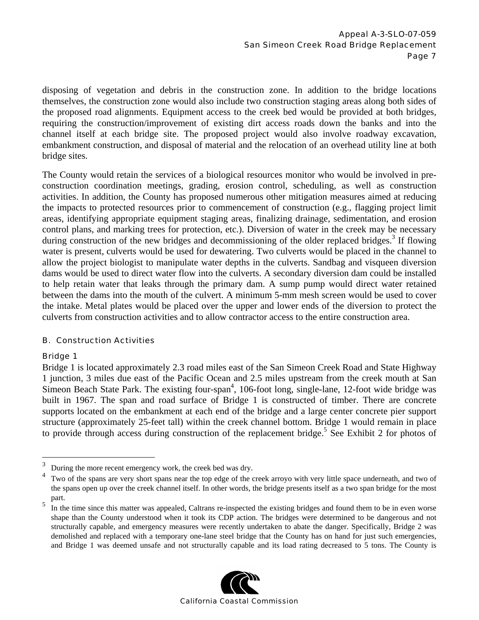disposing of vegetation and debris in the construction zone. In addition to the bridge locations themselves, the construction zone would also include two construction staging areas along both sides of the proposed road alignments. Equipment access to the creek bed would be provided at both bridges, requiring the construction/improvement of existing dirt access roads down the banks and into the channel itself at each bridge site. The proposed project would also involve roadway excavation, embankment construction, and disposal of material and the relocation of an overhead utility line at both bridge sites.

The County would retain the services of a biological resources monitor who would be involved in preconstruction coordination meetings, grading, erosion control, scheduling, as well as construction activities. In addition, the County has proposed numerous other mitigation measures aimed at reducing the impacts to protected resources prior to commencement of construction (e.g., flagging project limit areas, identifying appropriate equipment staging areas, finalizing drainage, sedimentation, and erosion control plans, and marking trees for protection, etc.). Diversion of water in the creek may be necessary during construction of the new bridges and decommissioning of the older replaced bridges.<sup>3</sup> If flowing water is present, culverts would be used for dewatering. Two culverts would be placed in the channel to allow the project biologist to manipulate water depths in the culverts. Sandbag and visqueen diversion dams would be used to direct water flow into the culverts. A secondary diversion dam could be installed to help retain water that leaks through the primary dam. A sump pump would direct water retained between the dams into the mouth of the culvert. A minimum 5-mm mesh screen would be used to cover the intake. Metal plates would be placed over the upper and lower ends of the diversion to protect the culverts from construction activities and to allow contractor access to the entire construction area.

#### B. Construction Activities

#### Bridge 1

 $\overline{a}$ 

Bridge 1 is located approximately 2.3 road miles east of the San Simeon Creek Road and State Highway 1 junction, 3 miles due east of the Pacific Ocean and 2.5 miles upstream from the creek mouth at San Simeon Beach State Park. The existing four-span<sup>4</sup>, 106-foot long, single-lane, 12-foot wide bridge was built in 1967. The span and road surface of Bridge 1 is constructed of timber. There are concrete supports located on the embankment at each end of the bridge and a large center concrete pier support structure (approximately 25-feet tall) within the creek channel bottom. Bridge 1 would remain in place to provide through access during construction of the replacement bridge.<sup>5</sup> See Exhibit 2 for photos of

part.<br><sup>5</sup> In the time since this matter was appealed, Caltrans re-inspected the existing bridges and found them to be in even worse shape than the County understood when it took its CDP action. The bridges were determined to be dangerous and not structurally capable, and emergency measures were recently undertaken to abate the danger. Specifically, Bridge 2 was demolished and replaced with a temporary one-lane steel bridge that the County has on hand for just such emergencies, and Bridge 1 was deemed unsafe and not structurally capable and its load rating decreased to 5 tons. The County is



<sup>3</sup>  $\frac{3}{4}$  During the more recent emergency work, the creek bed was dry.

Two of the spans are very short spans near the top edge of the creek arroyo with very little space underneath, and two of the spans open up over the creek channel itself. In other words, the bridge presents itself as a two span bridge for the most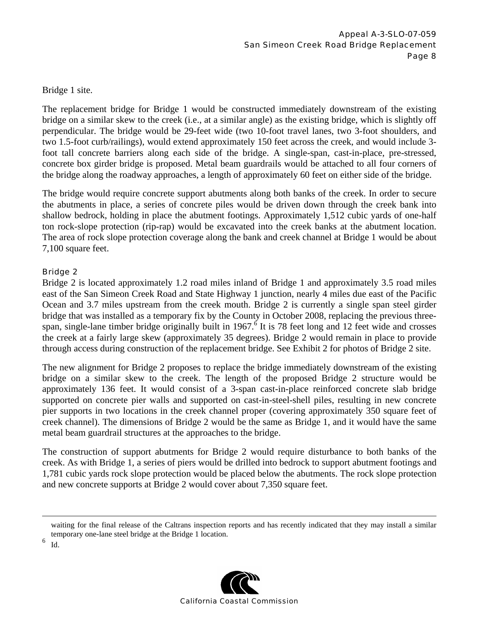Bridge 1 site.

The replacement bridge for Bridge 1 would be constructed immediately downstream of the existing bridge on a similar skew to the creek (i.e., at a similar angle) as the existing bridge, which is slightly off perpendicular. The bridge would be 29-feet wide (two 10-foot travel lanes, two 3-foot shoulders, and two 1.5-foot curb/railings), would extend approximately 150 feet across the creek, and would include 3 foot tall concrete barriers along each side of the bridge. A single-span, cast-in-place, pre-stressed, concrete box girder bridge is proposed. Metal beam guardrails would be attached to all four corners of the bridge along the roadway approaches, a length of approximately 60 feet on either side of the bridge.

The bridge would require concrete support abutments along both banks of the creek. In order to secure the abutments in place, a series of concrete piles would be driven down through the creek bank into shallow bedrock, holding in place the abutment footings. Approximately 1,512 cubic yards of one-half ton rock-slope protection (rip-rap) would be excavated into the creek banks at the abutment location. The area of rock slope protection coverage along the bank and creek channel at Bridge 1 would be about 7,100 square feet.

#### Bridge 2

Bridge 2 is located approximately 1.2 road miles inland of Bridge 1 and approximately 3.5 road miles east of the San Simeon Creek Road and State Highway 1 junction, nearly 4 miles due east of the Pacific Ocean and 3.7 miles upstream from the creek mouth. Bridge 2 is currently a single span steel girder bridge that was installed as a temporary fix by the County in October 2008, replacing the previous threespan, single-lane timber bridge originally built in 1967.<sup>6</sup> It is 78 feet long and 12 feet wide and crosses the creek at a fairly large skew (approximately 35 degrees). Bridge 2 would remain in place to provide through access during construction of the replacement bridge. See Exhibit 2 for photos of Bridge 2 site.

The new alignment for Bridge 2 proposes to replace the bridge immediately downstream of the existing bridge on a similar skew to the creek. The length of the proposed Bridge 2 structure would be approximately 136 feet. It would consist of a 3-span cast-in-place reinforced concrete slab bridge supported on concrete pier walls and supported on cast-in-steel-shell piles, resulting in new concrete pier supports in two locations in the creek channel proper (covering approximately 350 square feet of creek channel). The dimensions of Bridge 2 would be the same as Bridge 1, and it would have the same metal beam guardrail structures at the approaches to the bridge.

The construction of support abutments for Bridge 2 would require disturbance to both banks of the creek. As with Bridge 1, a series of piers would be drilled into bedrock to support abutment footings and 1,781 cubic yards rock slope protection would be placed below the abutments. The rock slope protection and new concrete supports at Bridge 2 would cover about 7,350 square feet.

waiting for the final release of the Caltrans inspection reports and has recently indicated that they may install a similar temporary one-lane steel bridge at the Bridge 1 location.

6 Id.

1

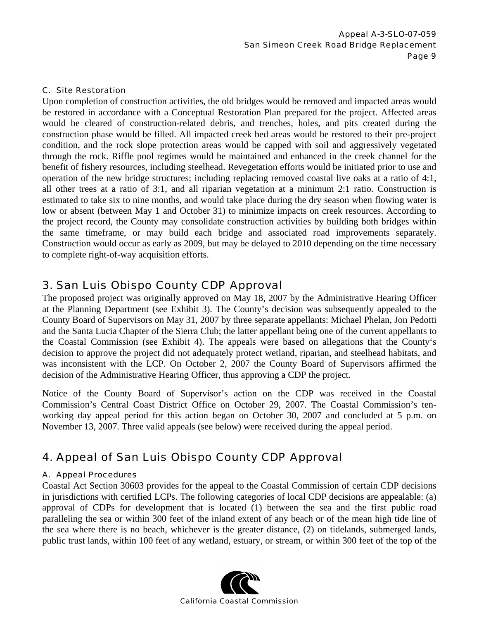#### C. Site Restoration

Upon completion of construction activities, the old bridges would be removed and impacted areas would be restored in accordance with a Conceptual Restoration Plan prepared for the project. Affected areas would be cleared of construction-related debris, and trenches, holes, and pits created during the construction phase would be filled. All impacted creek bed areas would be restored to their pre-project condition, and the rock slope protection areas would be capped with soil and aggressively vegetated through the rock. Riffle pool regimes would be maintained and enhanced in the creek channel for the benefit of fishery resources, including steelhead. Revegetation efforts would be initiated prior to use and operation of the new bridge structures; including replacing removed coastal live oaks at a ratio of 4:1, all other trees at a ratio of 3:1, and all riparian vegetation at a minimum 2:1 ratio. Construction is estimated to take six to nine months, and would take place during the dry season when flowing water is low or absent (between May 1 and October 31) to minimize impacts on creek resources. According to the project record, the County may consolidate construction activities by building both bridges within the same timeframe, or may build each bridge and associated road improvements separately. Construction would occur as early as 2009, but may be delayed to 2010 depending on the time necessary to complete right-of-way acquisition efforts.

## 3. San Luis Obispo County CDP Approval

The proposed project was originally approved on May 18, 2007 by the Administrative Hearing Officer at the Planning Department (see Exhibit 3). The County's decision was subsequently appealed to the County Board of Supervisors on May 31, 2007 by three separate appellants: Michael Phelan, Jon Pedotti and the Santa Lucia Chapter of the Sierra Club; the latter appellant being one of the current appellants to the Coastal Commission (see Exhibit 4). The appeals were based on allegations that the County's decision to approve the project did not adequately protect wetland, riparian, and steelhead habitats, and was inconsistent with the LCP. On October 2, 2007 the County Board of Supervisors affirmed the decision of the Administrative Hearing Officer, thus approving a CDP the project.

Notice of the County Board of Supervisor's action on the CDP was received in the Coastal Commission's Central Coast District Office on October 29, 2007. The Coastal Commission's tenworking day appeal period for this action began on October 30, 2007 and concluded at 5 p.m. on November 13, 2007. Three valid appeals (see below) were received during the appeal period.

## 4. Appeal of San Luis Obispo County CDP Approval

#### A. Appeal Procedures

Coastal Act Section 30603 provides for the appeal to the Coastal Commission of certain CDP decisions in jurisdictions with certified LCPs. The following categories of local CDP decisions are appealable: (a) approval of CDPs for development that is located (1) between the sea and the first public road paralleling the sea or within 300 feet of the inland extent of any beach or of the mean high tide line of the sea where there is no beach, whichever is the greater distance, (2) on tidelands, submerged lands, public trust lands, within 100 feet of any wetland, estuary, or stream, or within 300 feet of the top of the

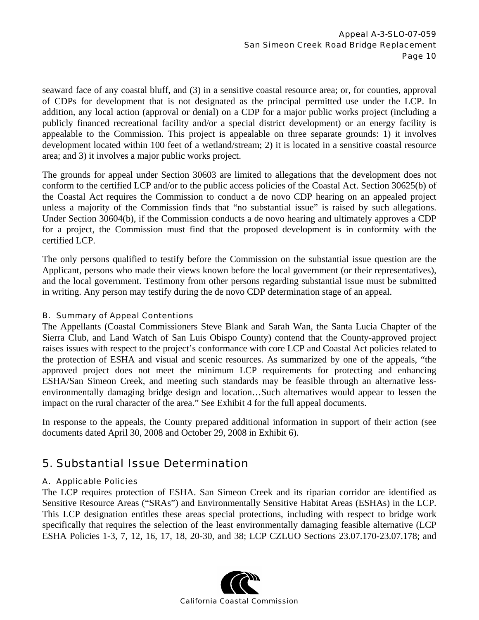seaward face of any coastal bluff, and (3) in a sensitive coastal resource area; or, for counties, approval of CDPs for development that is not designated as the principal permitted use under the LCP. In addition, any local action (approval or denial) on a CDP for a major public works project (including a publicly financed recreational facility and/or a special district development) or an energy facility is appealable to the Commission. This project is appealable on three separate grounds: 1) it involves development located within 100 feet of a wetland/stream; 2) it is located in a sensitive coastal resource area; and 3) it involves a major public works project.

The grounds for appeal under Section 30603 are limited to allegations that the development does not conform to the certified LCP and/or to the public access policies of the Coastal Act. Section 30625(b) of the Coastal Act requires the Commission to conduct a de novo CDP hearing on an appealed project unless a majority of the Commission finds that "no substantial issue" is raised by such allegations. Under Section 30604(b), if the Commission conducts a de novo hearing and ultimately approves a CDP for a project, the Commission must find that the proposed development is in conformity with the certified LCP.

The only persons qualified to testify before the Commission on the substantial issue question are the Applicant, persons who made their views known before the local government (or their representatives), and the local government. Testimony from other persons regarding substantial issue must be submitted in writing. Any person may testify during the de novo CDP determination stage of an appeal.

#### B. Summary of Appeal Contentions

The Appellants (Coastal Commissioners Steve Blank and Sarah Wan, the Santa Lucia Chapter of the Sierra Club, and Land Watch of San Luis Obispo County) contend that the County-approved project raises issues with respect to the project's conformance with core LCP and Coastal Act policies related to the protection of ESHA and visual and scenic resources. As summarized by one of the appeals, "the approved project does not meet the minimum LCP requirements for protecting and enhancing ESHA/San Simeon Creek, and meeting such standards may be feasible through an alternative lessenvironmentally damaging bridge design and location…Such alternatives would appear to lessen the impact on the rural character of the area." See Exhibit 4 for the full appeal documents.

In response to the appeals, the County prepared additional information in support of their action (see documents dated April 30, 2008 and October 29, 2008 in Exhibit 6).

## 5. Substantial Issue Determination

#### A. Applicable Policies

The LCP requires protection of ESHA. San Simeon Creek and its riparian corridor are identified as Sensitive Resource Areas ("SRAs") and Environmentally Sensitive Habitat Areas (ESHAs) in the LCP. This LCP designation entitles these areas special protections, including with respect to bridge work specifically that requires the selection of the least environmentally damaging feasible alternative (LCP ESHA Policies 1-3, 7, 12, 16, 17, 18, 20-30, and 38; LCP CZLUO Sections 23.07.170-23.07.178; and

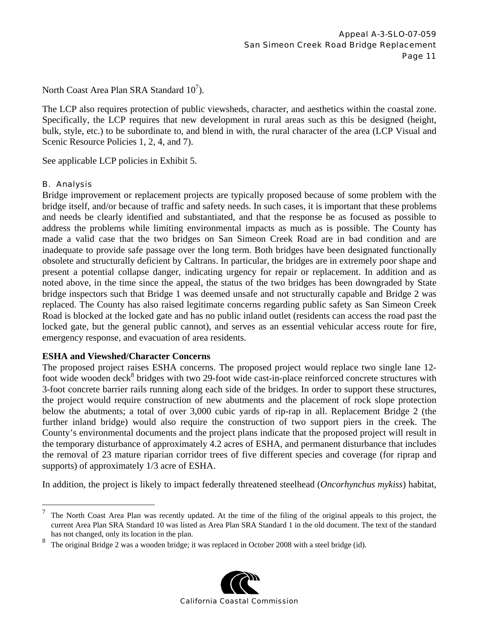North Coast Area Plan SRA Standard  $10^7$ ).

The LCP also requires protection of public viewsheds, character, and aesthetics within the coastal zone. Specifically, the LCP requires that new development in rural areas such as this be designed (height, bulk, style, etc.) to be subordinate to, and blend in with, the rural character of the area (LCP Visual and Scenic Resource Policies 1, 2, 4, and 7).

See applicable LCP policies in Exhibit 5.

#### B. Analysis

Bridge improvement or replacement projects are typically proposed because of some problem with the bridge itself, and/or because of traffic and safety needs. In such cases, it is important that these problems and needs be clearly identified and substantiated, and that the response be as focused as possible to address the problems while limiting environmental impacts as much as is possible. The County has made a valid case that the two bridges on San Simeon Creek Road are in bad condition and are inadequate to provide safe passage over the long term. Both bridges have been designated functionally obsolete and structurally deficient by Caltrans. In particular, the bridges are in extremely poor shape and present a potential collapse danger, indicating urgency for repair or replacement. In addition and as noted above, in the time since the appeal, the status of the two bridges has been downgraded by State bridge inspectors such that Bridge 1 was deemed unsafe and not structurally capable and Bridge 2 was replaced. The County has also raised legitimate concerns regarding public safety as San Simeon Creek Road is blocked at the locked gate and has no public inland outlet (residents can access the road past the locked gate, but the general public cannot), and serves as an essential vehicular access route for fire, emergency response, and evacuation of area residents.

#### **ESHA and Viewshed/Character Concerns**

The proposed project raises ESHA concerns. The proposed project would replace two single lane 12 foot wide wooden deck<sup>8</sup> bridges with two 29-foot wide cast-in-place reinforced concrete structures with 3-foot concrete barrier rails running along each side of the bridges. In order to support these structures, the project would require construction of new abutments and the placement of rock slope protection below the abutments; a total of over 3,000 cubic yards of rip-rap in all. Replacement Bridge 2 (the further inland bridge) would also require the construction of two support piers in the creek. The County's environmental documents and the project plans indicate that the proposed project will result in the temporary disturbance of approximately 4.2 acres of ESHA, and permanent disturbance that includes the removal of 23 mature riparian corridor trees of five different species and coverage (for riprap and supports) of approximately 1/3 acre of ESHA.

In addition, the project is likely to impact federally threatened steelhead (*Oncorhynchus mykiss*) habitat,

<sup>8</sup> The original Bridge 2 was a wooden bridge; it was replaced in October 2008 with a steel bridge (id).



 $\sqrt{ }$ <sup>7</sup> The North Coast Area Plan was recently updated. At the time of the filing of the original appeals to this project, the current Area Plan SRA Standard 10 was listed as Area Plan SRA Standard 1 in the old document. The text of the standard has not changed, only its location in the plan.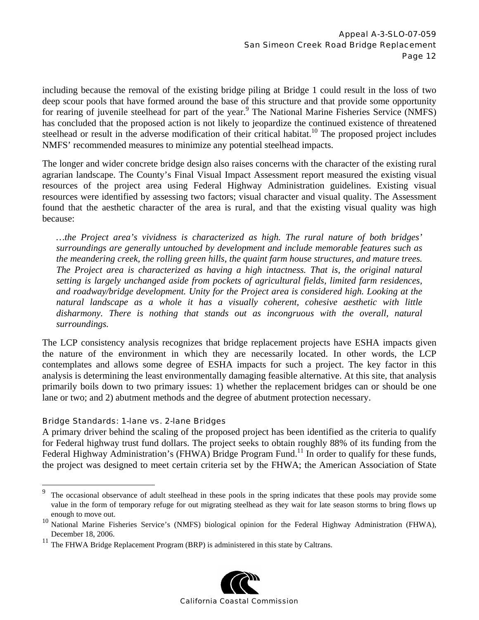including because the removal of the existing bridge piling at Bridge 1 could result in the loss of two deep scour pools that have formed around the base of this structure and that provide some opportunity for rearing of juvenile steelhead for part of the year.<sup>9</sup> The National Marine Fisheries Service (NMFS) has concluded that the proposed action is not likely to jeopardize the continued existence of threatened steelhead or result in the adverse modification of their critical habitat.<sup>10</sup> The proposed project includes NMFS' recommended measures to minimize any potential steelhead impacts.

The longer and wider concrete bridge design also raises concerns with the character of the existing rural agrarian landscape. The County's Final Visual Impact Assessment report measured the existing visual resources of the project area using Federal Highway Administration guidelines. Existing visual resources were identified by assessing two factors; visual character and visual quality. The Assessment found that the aesthetic character of the area is rural, and that the existing visual quality was high because:

*…the Project area's vividness is characterized as high. The rural nature of both bridges' surroundings are generally untouched by development and include memorable features such as the meandering creek, the rolling green hills, the quaint farm house structures, and mature trees. The Project area is characterized as having a high intactness. That is, the original natural setting is largely unchanged aside from pockets of agricultural fields, limited farm residences, and roadway/bridge development. Unity for the Project area is considered high. Looking at the natural landscape as a whole it has a visually coherent, cohesive aesthetic with little disharmony. There is nothing that stands out as incongruous with the overall, natural surroundings.* 

The LCP consistency analysis recognizes that bridge replacement projects have ESHA impacts given the nature of the environment in which they are necessarily located. In other words, the LCP contemplates and allows some degree of ESHA impacts for such a project. The key factor in this analysis is determining the least environmentally damaging feasible alternative. At this site, that analysis primarily boils down to two primary issues: 1) whether the replacement bridges can or should be one lane or two; and 2) abutment methods and the degree of abutment protection necessary.

#### Bridge Standards: 1-lane vs. 2-lane Bridges

1

A primary driver behind the scaling of the proposed project has been identified as the criteria to qualify for Federal highway trust fund dollars. The project seeks to obtain roughly 88% of its funding from the Federal Highway Administration's (FHWA) Bridge Program Fund.<sup>11</sup> In order to qualify for these funds, the project was designed to meet certain criteria set by the FHWA; the American Association of State

<sup>&</sup>lt;sup>11</sup> The FHWA Bridge Replacement Program (BRP) is administered in this state by Caltrans.



The occasional observance of adult steelhead in these pools in the spring indicates that these pools may provide some value in the form of temporary refuge for out migrating steelhead as they wait for late season storms to bring flows up

enough to move out.<br><sup>10</sup> National Marine Fisheries Service's (NMFS) biological opinion for the Federal Highway Administration (FHWA), December 18, 2006.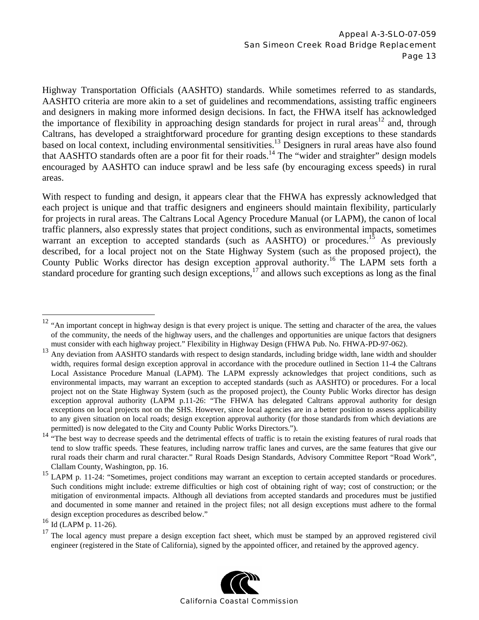Highway Transportation Officials (AASHTO) standards. While sometimes referred to as standards, AASHTO criteria are more akin to a set of guidelines and recommendations, assisting traffic engineers and designers in making more informed design decisions. In fact, the FHWA itself has acknowledged the importance of flexibility in approaching design standards for project in rural areas<sup>12</sup> and, through Caltrans, has developed a straightforward procedure for granting design exceptions to these standards based on local context, including environmental sensitivities.<sup>13</sup> Designers in rural areas have also found that AASHTO standards often are a poor fit for their roads.<sup>14</sup> The "wider and straighter" design models encouraged by AASHTO can induce sprawl and be less safe (by encouraging excess speeds) in rural areas.

With respect to funding and design, it appears clear that the FHWA has expressly acknowledged that each project is unique and that traffic designers and engineers should maintain flexibility, particularly for projects in rural areas. The Caltrans Local Agency Procedure Manual (or LAPM), the canon of local traffic planners, also expressly states that project conditions, such as environmental impacts, sometimes warrant an exception to accepted standards (such as AASHTO) or procedures.<sup>15</sup> As previously described, for a local project not on the State Highway System (such as the proposed project), the County Public Works director has design exception approval authority.<sup>16</sup> The LAPM sets forth a standard procedure for granting such design exceptions,<sup>17</sup> and allows such exceptions as long as the final

 $\overline{a}$ 

<sup>&</sup>lt;sup>17</sup> The local agency must prepare a design exception fact sheet, which must be stamped by an approved registered civil engineer (registered in the State of California), signed by the appointed officer, and retained by the approved agency.



 $12$  "An important concept in highway design is that every project is unique. The setting and character of the area, the values of the community, the needs of the highway users, and the challenges and opportunities are unique factors that designers must consider with each highway project." Flexibility in Highway Design (FHWA Pub. No. FHWA-PD-97-062).

<sup>&</sup>lt;sup>13</sup> Any deviation from AASHTO standards with respect to design standards, including bridge width, lane width and shoulder width, requires formal design exception approval in accordance with the procedure outlined in Section 11-4 the Caltrans Local Assistance Procedure Manual (LAPM). The LAPM expressly acknowledges that project conditions, such as environmental impacts, may warrant an exception to accepted standards (such as AASHTO) or procedures. For a local project not on the State Highway System (such as the proposed project), the County Public Works director has design exception approval authority (LAPM p.11-26: "The FHWA has delegated Caltrans approval authority for design exceptions on local projects not on the SHS. However, since local agencies are in a better position to assess applicability to any given situation on local roads; design exception approval authority (for those standards from which deviations are permitted) is now delegated to the City and County Public Works Directors.").

<sup>&</sup>lt;sup>14</sup> "The best way to decrease speeds and the detrimental effects of traffic is to retain the existing features of rural roads that tend to slow traffic speeds. These features, including narrow traffic lanes and curves, are the same features that give our rural roads their charm and rural character." Rural Roads Design Standards, Advisory Committee Report "Road Work", Clallam County, Washington, pp. 16.

<sup>&</sup>lt;sup>15</sup> LAPM p. 11-24: "Sometimes, project conditions may warrant an exception to certain accepted standards or procedures. Such conditions might include: extreme difficulties or high cost of obtaining right of way; cost of construction; or the mitigation of environmental impacts. Although all deviations from accepted standards and procedures must be justified and documented in some manner and retained in the project files; not all design exceptions must adhere to the formal design exception procedures as described below."

<sup>16</sup> Id (LAPM p. 11-26).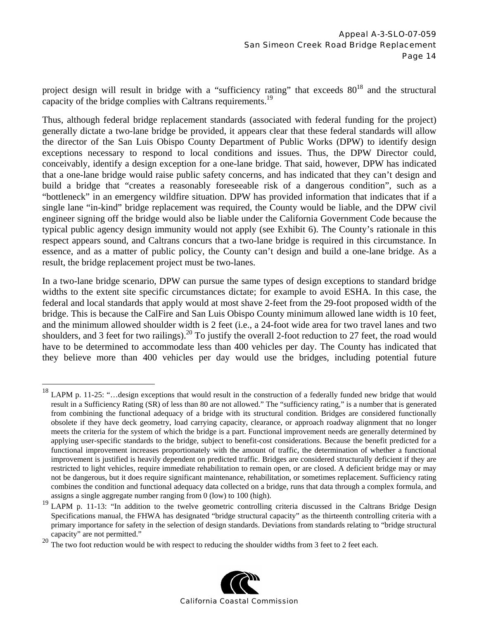project design will result in bridge with a "sufficiency rating" that exceeds  $80^{18}$  and the structural capacity of the bridge complies with Caltrans requirements.<sup>19</sup>

Thus, although federal bridge replacement standards (associated with federal funding for the project) generally dictate a two-lane bridge be provided, it appears clear that these federal standards will allow the director of the San Luis Obispo County Department of Public Works (DPW) to identify design exceptions necessary to respond to local conditions and issues. Thus, the DPW Director could, conceivably, identify a design exception for a one-lane bridge. That said, however, DPW has indicated that a one-lane bridge would raise public safety concerns, and has indicated that they can't design and build a bridge that "creates a reasonably foreseeable risk of a dangerous condition", such as a "bottleneck" in an emergency wildfire situation. DPW has provided information that indicates that if a single lane "in-kind" bridge replacement was required, the County would be liable, and the DPW civil engineer signing off the bridge would also be liable under the California Government Code because the typical public agency design immunity would not apply (see Exhibit 6). The County's rationale in this respect appears sound, and Caltrans concurs that a two-lane bridge is required in this circumstance. In essence, and as a matter of public policy, the County can't design and build a one-lane bridge. As a result, the bridge replacement project must be two-lanes.

In a two-lane bridge scenario, DPW can pursue the same types of design exceptions to standard bridge widths to the extent site specific circumstances dictate; for example to avoid ESHA. In this case, the federal and local standards that apply would at most shave 2-feet from the 29-foot proposed width of the bridge. This is because the CalFire and San Luis Obispo County minimum allowed lane width is 10 feet, and the minimum allowed shoulder width is 2 feet (i.e., a 24-foot wide area for two travel lanes and two shoulders, and 3 feet for two railings).<sup>20</sup> To justify the overall 2-foot reduction to 27 feet, the road would have to be determined to accommodate less than 400 vehicles per day. The County has indicated that they believe more than 400 vehicles per day would use the bridges, including potential future

 $\overline{a}$ 



 $18$  LAPM p. 11-25: "... design exceptions that would result in the construction of a federally funded new bridge that would result in a Sufficiency Rating (SR) of less than 80 are not allowed." The "sufficiency rating," is a number that is generated from combining the functional adequacy of a bridge with its structural condition. Bridges are considered functionally obsolete if they have deck geometry, load carrying capacity, clearance, or approach roadway alignment that no longer meets the criteria for the system of which the bridge is a part. Functional improvement needs are generally determined by applying user-specific standards to the bridge, subject to benefit-cost considerations. Because the benefit predicted for a functional improvement increases proportionately with the amount of traffic, the determination of whether a functional improvement is justified is heavily dependent on predicted traffic. Bridges are considered structurally deficient if they are restricted to light vehicles, require immediate rehabilitation to remain open, or are closed. A deficient bridge may or may not be dangerous, but it does require significant maintenance, rehabilitation, or sometimes replacement. Sufficiency rating combines the condition and functional adequacy data collected on a bridge, runs that data through a complex formula, and assigns a single aggregate number ranging from 0 (low) to 100 (high).

<sup>&</sup>lt;sup>19</sup> LAPM p. 11-13: "In addition to the twelve geometric controlling criteria discussed in the Caltrans Bridge Design Specifications manual, the FHWA has designated "bridge structural capacity" as the thirteenth controlling criteria with a primary importance for safety in the selection of design standards. Deviations from standards relating to "bridge structural capacity" are not permitted."

The two foot reduction would be with respect to reducing the shoulder widths from 3 feet to 2 feet each.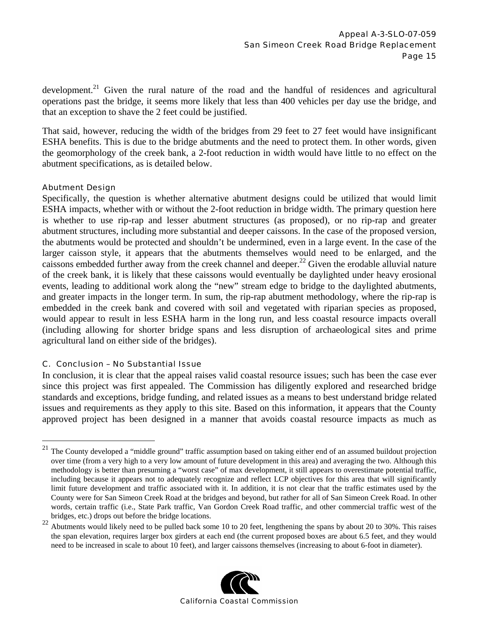development.<sup>21</sup> Given the rural nature of the road and the handful of residences and agricultural operations past the bridge, it seems more likely that less than 400 vehicles per day use the bridge, and that an exception to shave the 2 feet could be justified.

That said, however, reducing the width of the bridges from 29 feet to 27 feet would have insignificant ESHA benefits. This is due to the bridge abutments and the need to protect them. In other words, given the geomorphology of the creek bank, a 2-foot reduction in width would have little to no effect on the abutment specifications, as is detailed below.

#### Abutment Design

 $\overline{a}$ 

Specifically, the question is whether alternative abutment designs could be utilized that would limit ESHA impacts, whether with or without the 2-foot reduction in bridge width. The primary question here is whether to use rip-rap and lesser abutment structures (as proposed), or no rip-rap and greater abutment structures, including more substantial and deeper caissons. In the case of the proposed version, the abutments would be protected and shouldn't be undermined, even in a large event. In the case of the larger caisson style, it appears that the abutments themselves would need to be enlarged, and the caissons embedded further away from the creek channel and deeper.<sup>22</sup> Given the erodable alluvial nature of the creek bank, it is likely that these caissons would eventually be daylighted under heavy erosional events, leading to additional work along the "new" stream edge to bridge to the daylighted abutments, and greater impacts in the longer term. In sum, the rip-rap abutment methodology, where the rip-rap is embedded in the creek bank and covered with soil and vegetated with riparian species as proposed, would appear to result in less ESHA harm in the long run, and less coastal resource impacts overall (including allowing for shorter bridge spans and less disruption of archaeological sites and prime agricultural land on either side of the bridges).

#### C. Conclusion – No Substantial Issue

In conclusion, it is clear that the appeal raises valid coastal resource issues; such has been the case ever since this project was first appealed. The Commission has diligently explored and researched bridge standards and exceptions, bridge funding, and related issues as a means to best understand bridge related issues and requirements as they apply to this site. Based on this information, it appears that the County approved project has been designed in a manner that avoids coastal resource impacts as much as

<sup>&</sup>lt;sup>22</sup> Abutments would likely need to be pulled back some 10 to 20 feet, lengthening the spans by about 20 to 30%. This raises the span elevation, requires larger box girders at each end (the current proposed boxes are about 6.5 feet, and they would need to be increased in scale to about 10 feet), and larger caissons themselves (increasing to about 6-foot in diameter).



<sup>&</sup>lt;sup>21</sup> The County developed a "middle ground" traffic assumption based on taking either end of an assumed buildout projection over time (from a very high to a very low amount of future development in this area) and averaging the two. Although this methodology is better than presuming a "worst case" of max development, it still appears to overestimate potential traffic, including because it appears not to adequately recognize and reflect LCP objectives for this area that will significantly limit future development and traffic associated with it. In addition, it is not clear that the traffic estimates used by the County were for San Simeon Creek Road at the bridges and beyond, but rather for all of San Simeon Creek Road. In other words, certain traffic (i.e., State Park traffic, Van Gordon Creek Road traffic, and other commercial traffic west of the bridges, etc.) drops out before the bridge locations.